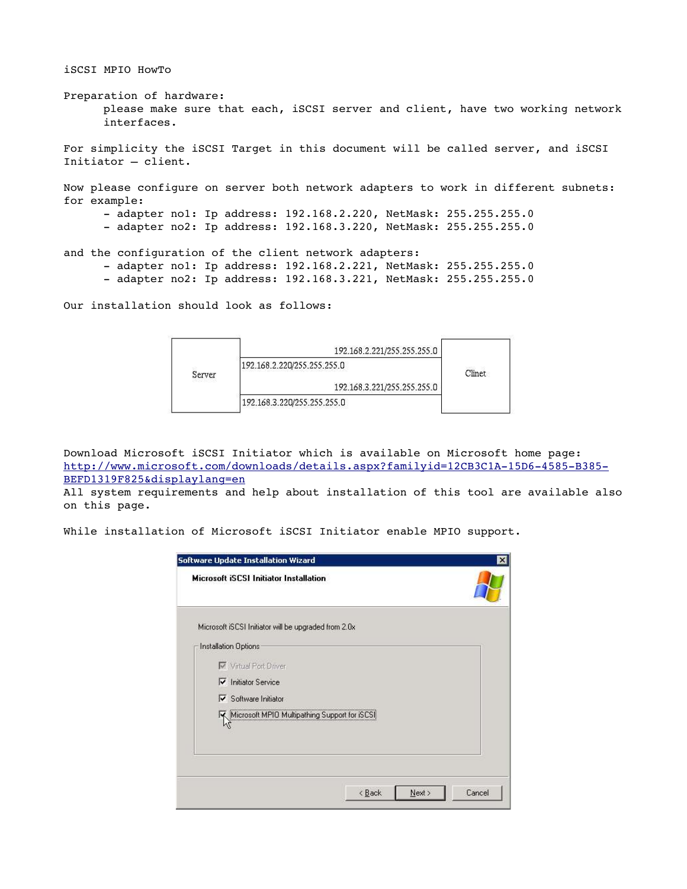iSCSI MPIO HowTo

Preparation of hardware: please make sure that each, iSCSI server and client, have two working network interfaces.

For simplicity the iSCSI Target in this document will be called server, and iSCSI Initiator – client.

Now please configure on server both network adapters to work in different subnets: for example:

- adapter nol: Ip address: 192.168.2.220, NetMask: 255.255.255.0
- adapter no2: Ip address: 192.168.3.220, NetMask: 255.255.255.0

and the configuration of the client network adapters:

- adapter no1: Ip address: 192.168.2.221, NetMask: 255.255.255.0
- adapter no2: Ip address: 192.168.3.221, NetMask: 255.255.255.0

Our installation should look as follows:



Download Microsoft iSCSI Initiator which is available on Microsoft home page: http://www.microsoft.com/downloads/details.aspx?familyid=12CB3C1A-15D6-4585-B385-BEFD1319F825&displaylang=en

All system requirements and help about installation of this tool are available also on this page.

While installation of Microsoft iSCSI Initiator enable MPIO support.

| Cancel |
|--------|
|        |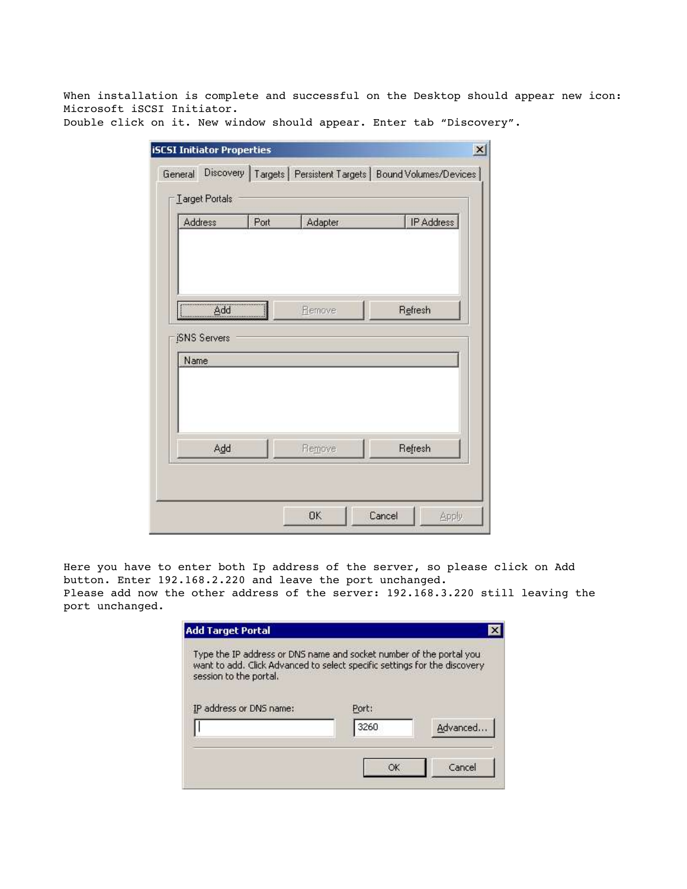When installation is complete and successful on the Desktop should appear new icon: Microsoft iSCSI Initiator.

Double click on it. New window should appear. Enter tab "Discovery".

| Address                     | Port<br>Adapter |        | IP Address |
|-----------------------------|-----------------|--------|------------|
| Add                         |                 | Remove | Refresh    |
| <b>ISNS</b> Servers<br>Name |                 |        |            |
| Add                         |                 | Remove | Refresh    |

Here you have to enter both Ip address of the server, so please click on Add button. Enter 192.168.2.220 and leave the port unchanged. Please add now the other address of the server: 192.168.3.220 still leaving the port unchanged.

| Type the IP address or DNS name and socket number of the portal you<br>want to add. Click Advanced to select specific settings for the discovery<br>session to the portal. |       |           |
|----------------------------------------------------------------------------------------------------------------------------------------------------------------------------|-------|-----------|
| IP address or DNS name:                                                                                                                                                    | Port: |           |
|                                                                                                                                                                            | 3260  | Advanced. |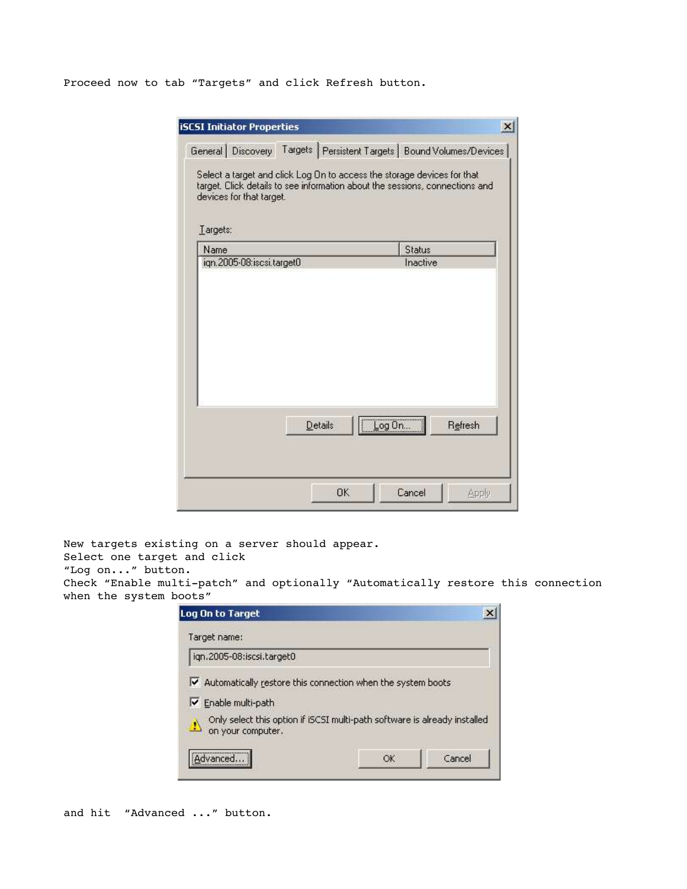Proceed now to tab "Targets" and click Refresh button.

| <b>iSCSI Initiator Properties</b> |                                                                                                                                                         | $\vert x \vert$                                                      |
|-----------------------------------|---------------------------------------------------------------------------------------------------------------------------------------------------------|----------------------------------------------------------------------|
|                                   |                                                                                                                                                         | General Discovery Targets Persistent Targets   Bound Volumes/Devices |
| devices for that target.          | Select a target and click Log On to access the storage devices for that<br>target. Click details to see information about the sessions, connections and |                                                                      |
| Largets:<br>Name                  |                                                                                                                                                         | Status                                                               |
| ign.2005-08:iscsi.target0         |                                                                                                                                                         | Inactive                                                             |
|                                   |                                                                                                                                                         |                                                                      |
|                                   |                                                                                                                                                         |                                                                      |
|                                   | Details                                                                                                                                                 | Log On<br>Refresh                                                    |

New targets existing on a server should appear. Select one target and click "Log on..." button. Check "Enable multi-patch" and optionally "Automatically restore this connection when the system boots"

| Log On to Target                                                                                     |    |        |
|------------------------------------------------------------------------------------------------------|----|--------|
| Target name:                                                                                         |    |        |
| ign.2005-08:iscsi.target0                                                                            |    |        |
| $\blacktriangleright$ Automatically restore this connection when the system boots                    |    |        |
| Enable multi-path                                                                                    |    |        |
| Only select this option if iSCSI multi-path software is already installed<br>Ш.<br>on your computer. |    |        |
| Advanced                                                                                             | OK | Cancel |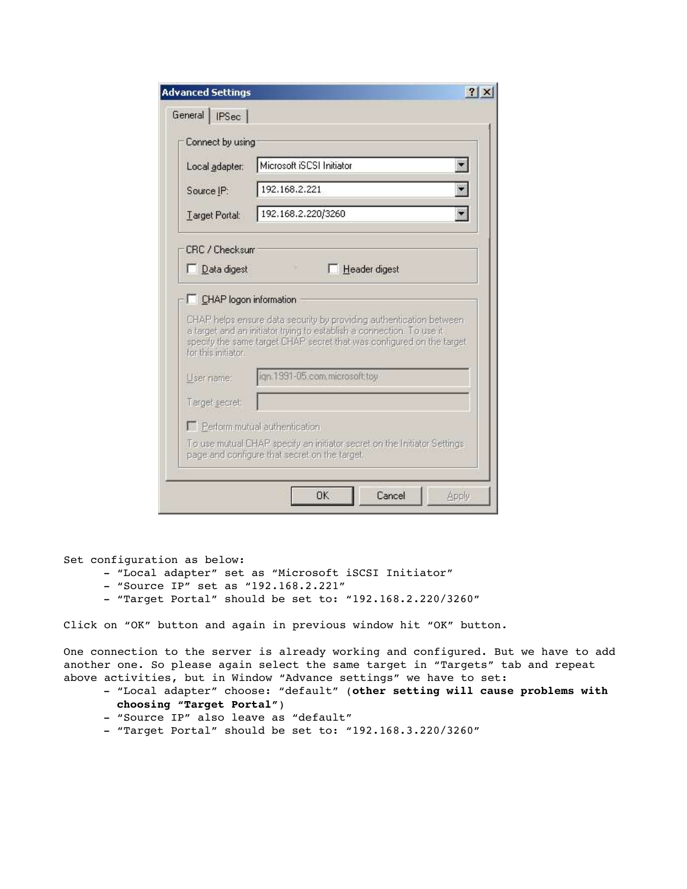| Connect by using                      |                                                                                                                                                |  |  |  |
|---------------------------------------|------------------------------------------------------------------------------------------------------------------------------------------------|--|--|--|
|                                       |                                                                                                                                                |  |  |  |
| Local adapter:                        | Microsoft iSCSI Initiator                                                                                                                      |  |  |  |
| Source IP:                            | 192.168.2.221                                                                                                                                  |  |  |  |
| Target Portal:                        | 192.168.2.220/3260                                                                                                                             |  |  |  |
| Data digest<br>CHAP logon information | F Header digest                                                                                                                                |  |  |  |
|                                       | CHAP helps ensure data security by providing authentication between                                                                            |  |  |  |
| for this initiator.                   | a target and an initiator trying to establish a connection. To use it<br>specify the same target CHAP secret that was configured on the target |  |  |  |
| User name:                            | ign.1991-05.com.microsoft.toy                                                                                                                  |  |  |  |
| Target secret:                        |                                                                                                                                                |  |  |  |
|                                       | Perform mutual authentication                                                                                                                  |  |  |  |

Set configuration as below:

- "Local adapter" set as "Microsoft iSCSI Initiator"
- "Source IP" set as "192.168.2.221"
- "Target Portal" should be set to: "192.168.2.220/3260"

Click on "OK" button and again in previous window hit "OK" button.

One connection to the server is already working and configured. But we have to add another one. So please again select the same target in "Targets" tab and repeat above activities, but in Window "Advance settings" we have to set:

- "Local adapter" choose: "default" (**other setting will cause problems with choosing "Target Portal"**)
- "Source IP" also leave as "default"
- "Target Portal" should be set to: "192.168.3.220/3260"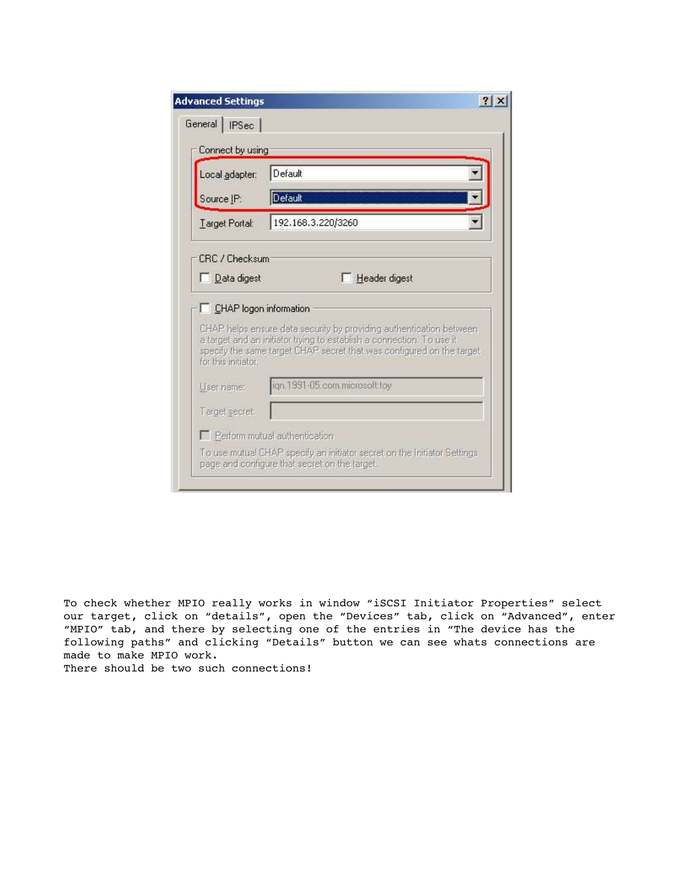| Connect by using                                    | Default                                                                                                                                        |  |  |
|-----------------------------------------------------|------------------------------------------------------------------------------------------------------------------------------------------------|--|--|
| Local adapter:                                      |                                                                                                                                                |  |  |
| Source IP:                                          | Default                                                                                                                                        |  |  |
| Target Portal:                                      | 192.168.3.220/3260                                                                                                                             |  |  |
|                                                     | CHAP helps ensure data security by providing authentication between                                                                            |  |  |
|                                                     | a target and an initiator trying to establish a connection. To use it<br>specify the same target CHAP secret that was configured on the target |  |  |
|                                                     | ign.1991-05.com.microsoft.toy                                                                                                                  |  |  |
|                                                     |                                                                                                                                                |  |  |
| for this initiator.<br>User name:<br>Target secret: | Perform mutual authentication                                                                                                                  |  |  |

To check whether MPIO really works in window "iSCSI Initiator Properties" select our target, click on "details", open the "Devices" tab, click on "Advanced", enter "MPIO" tab, and there by selecting one of the entries in "The device has the following paths" and clicking "Details" button we can see whats connections are made to make MPIO work. There should be two such connections!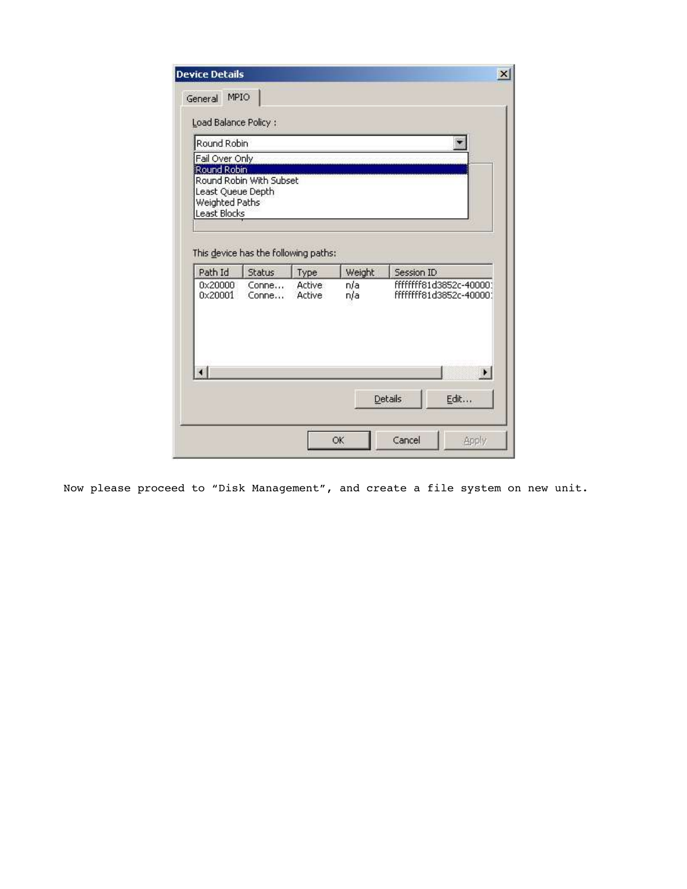| Round Robin<br>Fail Over Only<br>Round Robin<br>Round Robin With Subset |                |                         |               |                                                      |
|-------------------------------------------------------------------------|----------------|-------------------------|---------------|------------------------------------------------------|
|                                                                         |                |                         |               |                                                      |
|                                                                         |                |                         |               |                                                      |
| Least Queue Depth                                                       |                |                         |               |                                                      |
| Weighted Paths                                                          |                |                         |               |                                                      |
| Least Blocks                                                            |                |                         |               |                                                      |
|                                                                         |                |                         |               |                                                      |
| This device has the following paths:                                    |                |                         |               |                                                      |
| Path Id                                                                 | <b>Status</b>  | Type                    | <b>Weight</b> | Session ID                                           |
| 0x20000<br>0x20001                                                      | Conne<br>Conne | <b>Active</b><br>Active | n/a           | fffffffff81d3852c-400001<br>fffffffff81d3852c-400001 |
|                                                                         |                |                         | n/a           |                                                      |
|                                                                         |                |                         |               |                                                      |
|                                                                         |                |                         |               |                                                      |
|                                                                         |                |                         |               |                                                      |
|                                                                         |                |                         |               |                                                      |
| ٠I                                                                      |                |                         |               | $\ddot{\phantom{1}}$                                 |

Now please proceed to "Disk Management", and create a file system on new unit.